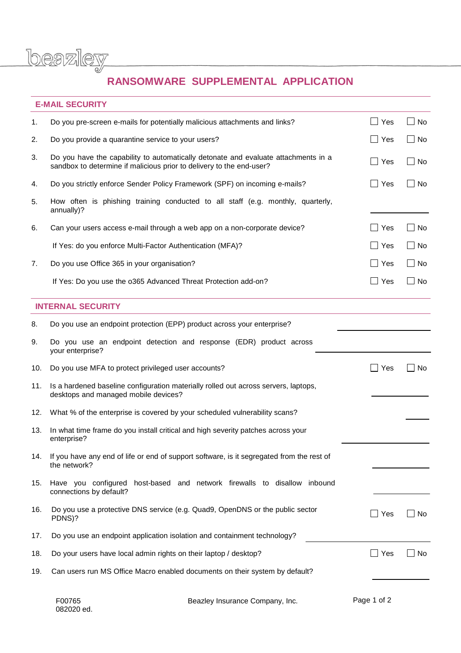beazley

## RANSOMWARE SUPPLEMENTAL APPLICATION

## **E-MAIL SECURITY**

| 1.  | Do you pre-screen e-mails for potentially malicious attachments and links?                                                                                 | Yes             | $\Box$ No    |
|-----|------------------------------------------------------------------------------------------------------------------------------------------------------------|-----------------|--------------|
| 2.  | Do you provide a quarantine service to your users?                                                                                                         | $\sqcup$ Yes    | $\Box$ No    |
| 3.  | Do you have the capability to automatically detonate and evaluate attachments in a<br>sandbox to determine if malicious prior to delivery to the end-user? | $\Box$ Yes      | No<br>$\Box$ |
| 4.  | Do you strictly enforce Sender Policy Framework (SPF) on incoming e-mails?                                                                                 | _l Yes          | $\Box$ No    |
| 5.  | How often is phishing training conducted to all staff (e.g. monthly, quarterly,<br>annually)?                                                              |                 |              |
| 6.  | Can your users access e-mail through a web app on a non-corporate device?                                                                                  | Yes             | l No         |
|     | If Yes: do you enforce Multi-Factor Authentication (MFA)?                                                                                                  | $\exists$ Yes   | $\Box$ No    |
| 7.  | Do you use Office 365 in your organisation?                                                                                                                | $\Box$ Yes      | $\Box$ No    |
|     | If Yes: Do you use the 0365 Advanced Threat Protection add-on?                                                                                             | $\Box$ Yes      | $\Box$ No    |
|     | <b>INTERNAL SECURITY</b>                                                                                                                                   |                 |              |
| 8.  | Do you use an endpoint protection (EPP) product across your enterprise?                                                                                    |                 |              |
| 9.  | Do you use an endpoint detection and response (EDR) product across<br>your enterprise?                                                                     |                 |              |
| 10. | Do you use MFA to protect privileged user accounts?                                                                                                        | Yes             | No           |
|     |                                                                                                                                                            |                 |              |
| 11. | Is a hardened baseline configuration materially rolled out across servers, laptops,<br>desktops and managed mobile devices?                                |                 |              |
| 12. | What % of the enterprise is covered by your scheduled vulnerability scans?                                                                                 |                 |              |
| 13. | In what time frame do you install critical and high severity patches across your<br>enterprise?                                                            |                 |              |
| 14. | If you have any end of life or end of support software, is it segregated from the rest of<br>the network?                                                  |                 |              |
| 15. | Have you configured<br>host-based and network firewalls to disallow inbound<br>connections by default?                                                     |                 |              |
| 16. | Do you use a protective DNS service (e.g. Quad9, OpenDNS or the public sector<br>PDNS)?                                                                    | $\sqsupset$ Yes | $\Box$ No    |
| 17. | Do you use an endpoint application isolation and containment technology?                                                                                   |                 |              |
| 18. | Do your users have local admin rights on their laptop / desktop?                                                                                           | _l Yes          | No           |

| F00765     |  |
|------------|--|
| 082020 ed. |  |

Beazley Insurance Company, Inc.